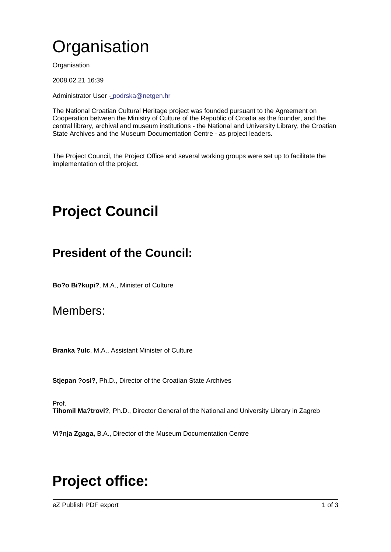# **Organisation**

**Organisation** 

2008.02.21 16:39

Administrator User - podrska@netgen.hr

The National Croatian Cultural Heritage project was founded pursuant to the Agreement on Cooperation between the Ministry of Culture of the Republic of Croatia as the founder, and the central library, archi[v](mailto:podrska@netgen.hr)al and museum institutions - the National and University Library, the Croatian State Archives and the Museum Documentation Centre - as project leaders.

The Project Council, the Project Office and several working groups were set up to facilitate the implementation of the project.

# Project Council

## President of the Council:

Bo?o Bi?kupi?, M.A., Minister of Culture

### Members:

Branka ?ulc, M.A., Assistant Minister of Culture

Stjepan ?osi?, Ph.D., Director of the Croatian State Archives

Prof.

Tihomil Ma?trovi?, Ph.D., Director General of the National and University Library in Zagreb

Vi?nja Zgaga, B.A., Director of the Museum Documentation Centre

## Project office:

eZ Publish PDF export 1 of 3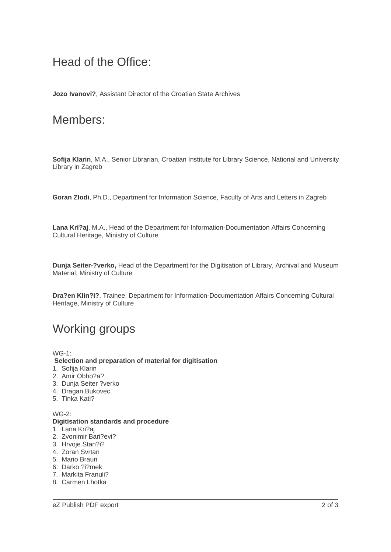### Head of the Office:

**Jozo Ivanovi?**, Assistant Director of the Croatian State Archives

#### Members:

**Sofija Klarin**, M.A., Senior Librarian, Croatian Institute for Library Science, National and University Library in Zagreb

**Goran Zlodi**, Ph.D., Department for Information Science, Faculty of Arts and Letters in Zagreb

**Lana Kri?aj**, M.A., Head of the Department for Information-Documentation Affairs Concerning Cultural Heritage, Ministry of Culture

**Dunja Seiter-?verko,** Head of the Department for the Digitisation of Library, Archival and Museum Material, Ministry of Culture

**Dra?en Klin?i?**, Trainee, Department for Information-Documentation Affairs Concerning Cultural Heritage, Ministry of Culture

## Working groups

WG-1:

 **Selection and preparation of material for digitisation**

- 1. Sofija Klarin
- 2. Amir Obho?a?
- 3. Dunja Seiter ?verko
- 4. Dragan Bukovec
- 5. Tinka Kati?

 $WG-2$ 

#### **Digitisation standards and procedure**

- 1. Lana Kri?aj
- 2. Zvonimir Bari?evi?
- 3. Hrvoje Stan?i?
- 4. Zoran Svrtan
- 5. Mario Braun
- 6. Darko ?i?mek
- 7. Markita Franuli?
- 8. Carmen Lhotka